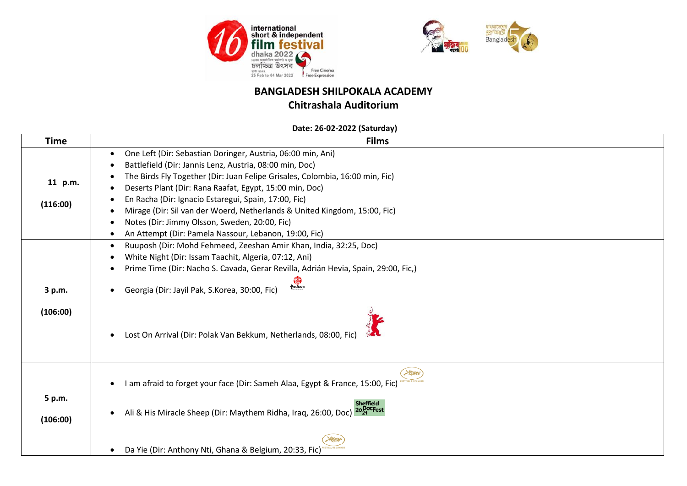



### **Chitrashala Auditorium**

#### **Date: 26-02-2022 (Saturday)**

| <b>Time</b> | <b>Films</b>                                                                                                       |
|-------------|--------------------------------------------------------------------------------------------------------------------|
|             | One Left (Dir: Sebastian Doringer, Austria, 06:00 min, Ani)<br>$\bullet$                                           |
|             | Battlefield (Dir: Jannis Lenz, Austria, 08:00 min, Doc)                                                            |
|             | The Birds Fly Together (Dir: Juan Felipe Grisales, Colombia, 16:00 min, Fic)                                       |
| 11 p.m.     | Deserts Plant (Dir: Rana Raafat, Egypt, 15:00 min, Doc)                                                            |
| (116:00)    | En Racha (Dir: Ignacio Estaregui, Spain, 17:00, Fic)                                                               |
|             | Mirage (Dir: Sil van der Woerd, Netherlands & United Kingdom, 15:00, Fic)                                          |
|             | Notes (Dir: Jimmy Olsson, Sweden, 20:00, Fic)                                                                      |
|             | An Attempt (Dir: Pamela Nassour, Lebanon, 19:00, Fic)                                                              |
|             | Ruuposh (Dir: Mohd Fehmeed, Zeeshan Amir Khan, India, 32:25, Doc)                                                  |
|             | White Night (Dir: Issam Taachit, Algeria, 07:12, Ani)<br>٠                                                         |
|             | Prime Time (Dir: Nacho S. Cavada, Gerar Revilla, Adrián Hevia, Spain, 29:00, Fic,)                                 |
| 3 p.m.      | <b>READ</b><br>Georgia (Dir: Jayil Pak, S.Korea, 30:00, Fic)                                                       |
| (106:00)    | Lost On Arrival (Dir: Polak Van Bekkum, Netherlands, 08:00, Fic)<br>$\bullet$                                      |
|             | Hillard<br>am afraid to forget your face (Dir: Sameh Alaa, Egypt & France, 15:00, Fic)<br>$\bullet$                |
| 5 p.m.      |                                                                                                                    |
| (106:00)    | iheffield<br>20 <sub>21</sub> Crest<br>Ali & His Miracle Sheep (Dir: Maythem Ridha, Iraq, 26:00, Doc)<br>$\bullet$ |
|             | Da Yie (Dir: Anthony Nti, Ghana & Belgium, 20:33, Fic)                                                             |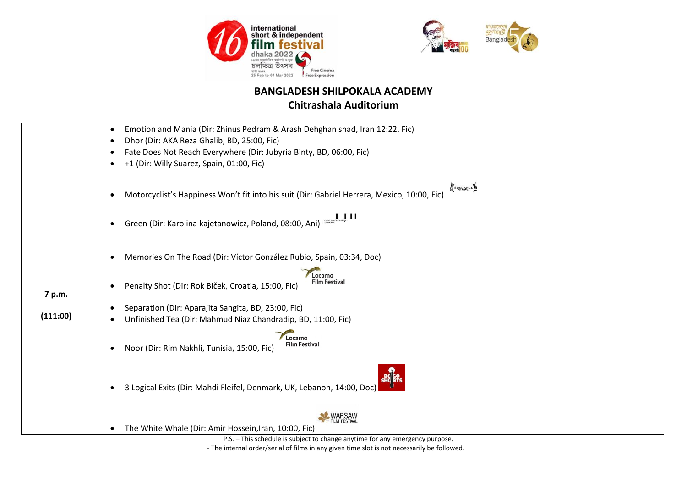



## **Chitrashala Auditorium**

|          | Emotion and Mania (Dir: Zhinus Pedram & Arash Dehghan shad, Iran 12:22, Fic)<br>٠                       |
|----------|---------------------------------------------------------------------------------------------------------|
|          | Dhor (Dir: AKA Reza Ghalib, BD, 25:00, Fic)                                                             |
|          | Fate Does Not Reach Everywhere (Dir: Jubyria Binty, BD, 06:00, Fic)                                     |
|          | +1 (Dir: Willy Suarez, Spain, 01:00, Fic)                                                               |
|          | SUNDANCE<br>Motorcyclist's Happiness Won't fit into his suit (Dir: Gabriel Herrera, Mexico, 10:00, Fic) |
|          | 1 L L L<br>Green (Dir: Karolina kajetanowicz, Poland, 08:00, Ani)<br>$\bullet$                          |
|          | Memories On The Road (Dir: Víctor González Rubio, Spain, 03:34, Doc)<br>٠<br>Locarno                    |
| 7 p.m.   | <b>Film Festival</b><br>Penalty Shot (Dir: Rok Biček, Croatia, 15:00, Fic)<br>٠                         |
|          | Separation (Dir: Aparajita Sangita, BD, 23:00, Fic)                                                     |
| (111:00) | Unfinished Tea (Dir: Mahmud Niaz Chandradip, BD, 11:00, Fic)                                            |
|          | Locarno<br><b>Film Festival</b><br>Noor (Dir: Rim Nakhli, Tunisia, 15:00, Fic)<br>$\bullet$             |
|          | 3 Logical Exits (Dir: Mahdi Fleifel, Denmark, UK, Lebanon, 14:00, Doc)<br>$\bullet$                     |
|          |                                                                                                         |
|          | The White Whale (Dir: Amir Hossein, Iran, 10:00, Fic)<br>$\bullet$                                      |
|          | <b>WARSAW</b><br>D.C. This selective is subject to also as a continual for one                          |

P.S. – This schedule is subject to change anytime for any emergency purpose. - The internal order/serial of films in any given time slot is not necessarily be followed.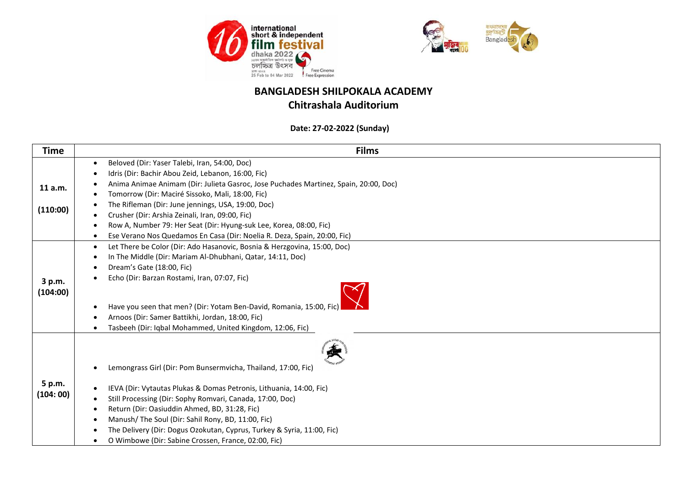



#### **Chitrashala Auditorium**

 **Date: 27-02-2022 (Sunday)**

| <b>Time</b> | <b>Films</b>                                                                                      |
|-------------|---------------------------------------------------------------------------------------------------|
|             | Beloved (Dir: Yaser Talebi, Iran, 54:00, Doc)<br>$\bullet$                                        |
|             | Idris (Dir: Bachir Abou Zeid, Lebanon, 16:00, Fic)<br>$\bullet$                                   |
| 11 a.m.     | Anima Animae Animam (Dir: Julieta Gasroc, Jose Puchades Martinez, Spain, 20:00, Doc)<br>$\bullet$ |
|             | Tomorrow (Dir: Maciré Sissoko, Mali, 18:00, Fic)                                                  |
|             | The Rifleman (Dir: June jennings, USA, 19:00, Doc)                                                |
| (110:00)    | Crusher (Dir: Arshia Zeinali, Iran, 09:00, Fic)<br>$\bullet$                                      |
|             | Row A, Number 79: Her Seat (Dir: Hyung-suk Lee, Korea, 08:00, Fic)<br>$\bullet$                   |
|             | Ese Verano Nos Quedamos En Casa (Dir: Noelia R. Deza, Spain, 20:00, Fic)                          |
|             | Let There be Color (Dir: Ado Hasanovic, Bosnia & Herzgovina, 15:00, Doc)<br>$\bullet$             |
|             | In The Middle (Dir: Mariam Al-Dhubhani, Qatar, 14:11, Doc)<br>$\bullet$                           |
|             | Dream's Gate (18:00, Fic)<br>$\bullet$                                                            |
| 3 p.m.      | Echo (Dir: Barzan Rostami, Iran, 07:07, Fic)                                                      |
| (104:00)    |                                                                                                   |
|             | Have you seen that men? (Dir: Yotam Ben-David, Romania, 15:00, Fic)<br>$\bullet$                  |
|             | Arnoos (Dir: Samer Battikhi, Jordan, 18:00, Fic)                                                  |
|             | Tasbeeh (Dir: Iqbal Mohammed, United Kingdom, 12:06, Fic)                                         |
|             | Lemongrass Girl (Dir: Pom Bunsermvicha, Thailand, 17:00, Fic)<br>$\bullet$                        |
| 5 p.m.      | IEVA (Dir: Vytautas Plukas & Domas Petronis, Lithuania, 14:00, Fic)<br>$\bullet$                  |
| (104:00)    | Still Processing (Dir: Sophy Romvari, Canada, 17:00, Doc)                                         |
|             | Return (Dir: Oasiuddin Ahmed, BD, 31:28, Fic)<br>$\bullet$                                        |
|             | Manush/The Soul (Dir: Sahil Rony, BD, 11:00, Fic)<br>$\bullet$                                    |
|             | The Delivery (Dir: Dogus Ozokutan, Cyprus, Turkey & Syria, 11:00, Fic)<br>$\bullet$               |
|             | O Wimbowe (Dir: Sabine Crossen, France, 02:00, Fic)                                               |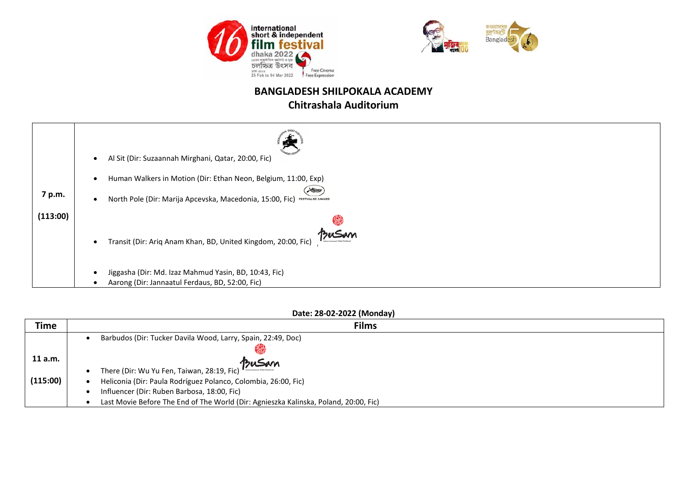



### **Chitrashala Auditorium**

|          | Al Sit (Dir: Suzaannah Mirghani, Qatar, 20:00, Fic)                                                      |
|----------|----------------------------------------------------------------------------------------------------------|
|          |                                                                                                          |
|          | Human Walkers in Motion (Dir: Ethan Neon, Belgium, 11:00, Exp)<br>Huar                                   |
| 7 p.m.   | North Pole (Dir: Marija Apcevska, Macedonia, 15:00, Fic) TESTIVAL DE CANNES<br>$\bullet$                 |
| (113:00) |                                                                                                          |
|          | BuSam<br>Transit (Dir: Ariq Anam Khan, BD, United Kingdom, 20:00, Fic)                                   |
|          | Jiggasha (Dir: Md. Izaz Mahmud Yasin, BD, 10:43, Fic)<br>Aarong (Dir: Jannaatul Ferdaus, BD, 52:00, Fic) |

#### **Date: 28-02-2022 (Monday)**

| <b>Time</b> | <b>Films</b>                                                                         |
|-------------|--------------------------------------------------------------------------------------|
|             | Barbudos (Dir: Tucker Davila Wood, Larry, Spain, 22:49, Doc)                         |
|             |                                                                                      |
| $11$ a.m.   | BuSam                                                                                |
|             | There (Dir: Wu Yu Fen, Taiwan, 28:19, Fic)                                           |
| (115:00)    | Heliconia (Dir: Paula Rodríguez Polanco, Colombia, 26:00, Fic)                       |
|             | Influencer (Dir: Ruben Barbosa, 18:00, Fic)                                          |
|             | Last Movie Before The End of The World (Dir: Agnieszka Kalinska, Poland, 20:00, Fic) |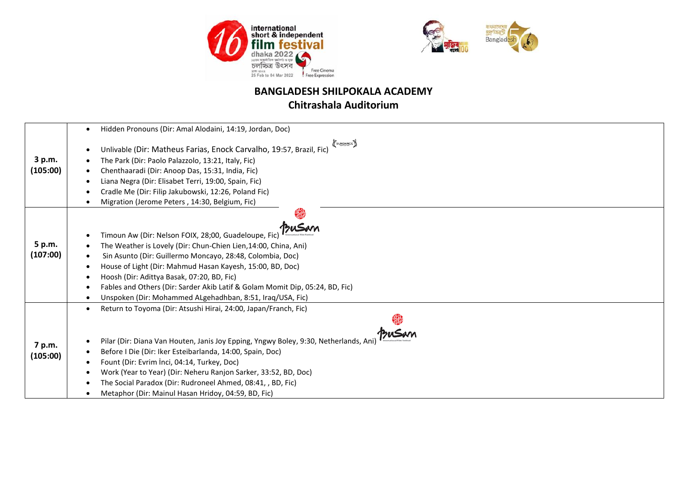



## **Chitrashala Auditorium**

|          | Hidden Pronouns (Dir: Amal Alodaini, 14:19, Jordan, Doc)<br>$\bullet$                     |
|----------|-------------------------------------------------------------------------------------------|
|          | SUNDANCE                                                                                  |
|          | Unlivable (Dir: Matheus Farias, Enock Carvalho, 19:57, Brazil, Fic)                       |
| 3 p.m.   | The Park (Dir: Paolo Palazzolo, 13:21, Italy, Fic)                                        |
| (105:00) | Chenthaaradi (Dir: Anoop Das, 15:31, India, Fic)                                          |
|          | Liana Negra (Dir: Elisabet Terri, 19:00, Spain, Fic)                                      |
|          | Cradle Me (Dir: Filip Jakubowski, 12:26, Poland Fic)                                      |
|          | Migration (Jerome Peters, 14:30, Belgium, Fic)                                            |
|          |                                                                                           |
|          |                                                                                           |
|          | Timoun Aw (Dir: Nelson FOIX, 28;00, Guadeloupe, Fic                                       |
| 5 p.m.   | The Weather is Lovely (Dir: Chun-Chien Lien, 14:00, China, Ani)                           |
| (107:00) | Sin Asunto (Dir: Guillermo Moncayo, 28:48, Colombia, Doc)                                 |
|          | House of Light (Dir: Mahmud Hasan Kayesh, 15:00, BD, Doc)                                 |
|          | Hoosh (Dir: Adittya Basak, 07:20, BD, Fic)<br>$\bullet$                                   |
|          | Fables and Others (Dir: Sarder Akib Latif & Golam Momit Dip, 05:24, BD, Fic)<br>$\bullet$ |
|          | Unspoken (Dir: Mohammed ALgehadhban, 8:51, Iraq/USA, Fic)                                 |
|          | Return to Toyoma (Dir: Atsushi Hirai, 24:00, Japan/Franch, Fic)<br>$\bullet$              |
|          |                                                                                           |
|          |                                                                                           |
|          | Pilar (Dir: Diana Van Houten, Janis Joy Epping, Yngwy Boley, 9:30, Netherlands, Ani       |
| 7 p.m.   | Before I Die (Dir: Iker Esteibarlanda, 14:00, Spain, Doc)                                 |
| (105:00) | Fount (Dir: Evrim İnci, 04:14, Turkey, Doc)                                               |
|          | Work (Year to Year) (Dir: Neheru Ranjon Sarker, 33:52, BD, Doc)                           |
|          | The Social Paradox (Dir: Rudroneel Ahmed, 08:41, , BD, Fic)<br>$\bullet$                  |
|          | Metaphor (Dir: Mainul Hasan Hridoy, 04:59, BD, Fic)                                       |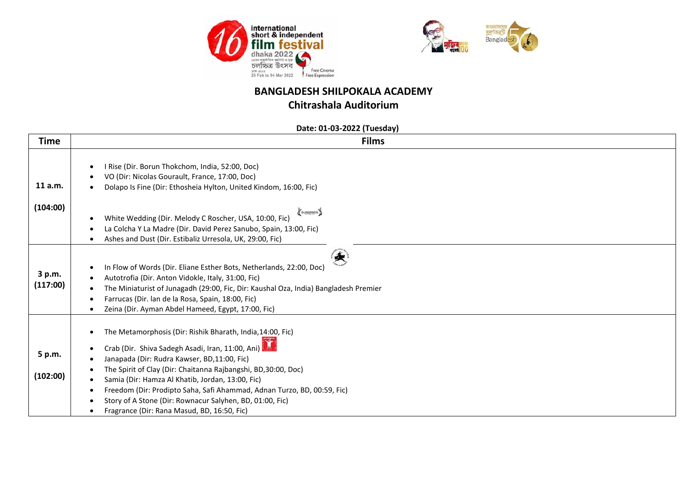



### **Chitrashala Auditorium**

 **Date: 01-03-2022 (Tuesday)**

| <b>Time</b>        | <b>Films</b>                                                                                                                                                                                                                                                                                                                                                                                                                                                                          |
|--------------------|---------------------------------------------------------------------------------------------------------------------------------------------------------------------------------------------------------------------------------------------------------------------------------------------------------------------------------------------------------------------------------------------------------------------------------------------------------------------------------------|
| 11 a.m.            | I Rise (Dir. Borun Thokchom, India, 52:00, Doc)<br>$\bullet$<br>VO (Dir: Nicolas Gourault, France, 17:00, Doc)<br>Dolapo Is Fine (Dir: Ethosheia Hylton, United Kindom, 16:00, Fic)                                                                                                                                                                                                                                                                                                   |
| (104:00)           | SUNDANCE<br>White Wedding (Dir. Melody C Roscher, USA, 10:00, Fic)<br>$\bullet$<br>La Colcha Y La Madre (Dir. David Perez Sanubo, Spain, 13:00, Fic)<br>Ashes and Dust (Dir. Estibaliz Urresola, UK, 29:00, Fic)                                                                                                                                                                                                                                                                      |
| 3 p.m.<br>(117:00) | In Flow of Words (Dir. Eliane Esther Bots, Netherlands, 22:00, Doc)<br>Autotrofia (Dir. Anton Vidokle, Italy, 31:00, Fic)<br>The Miniaturist of Junagadh (29:00, Fic, Dir: Kaushal Oza, India) Bangladesh Premier<br>Farrucas (Dir. lan de la Rosa, Spain, 18:00, Fic)<br>Zeina (Dir. Ayman Abdel Hameed, Egypt, 17:00, Fic)                                                                                                                                                          |
| 5 p.m.<br>(102:00) | The Metamorphosis (Dir: Rishik Bharath, India, 14:00, Fic)<br>Crab (Dir. Shiva Sadegh Asadi, Iran, 11:00, Ani)<br>Janapada (Dir: Rudra Kawser, BD,11:00, Fic)<br>The Spirit of Clay (Dir: Chaitanna Rajbangshi, BD,30:00, Doc)<br>Samia (Dir: Hamza Al Khatib, Jordan, 13:00, Fic)<br>Freedom (Dir: Prodipto Saha, Safi Ahammad, Adnan Turzo, BD, 00:59, Fic)<br>Story of A Stone (Dir: Rownacur Salyhen, BD, 01:00, Fic)<br>$\bullet$<br>Fragrance (Dir: Rana Masud, BD, 16:50, Fic) |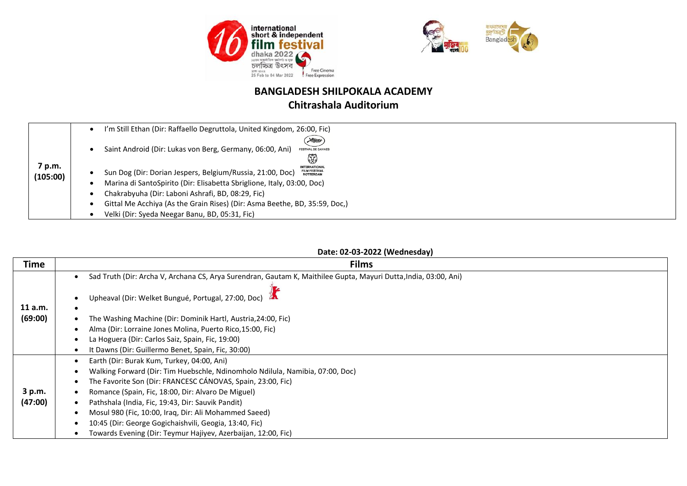



## **Chitrashala Auditorium**

|                    | I'm Still Ethan (Dir: Raffaello Degruttola, United Kingdom, 26:00, Fic)                                                                                                                                                                                                                                                                                              |  |
|--------------------|----------------------------------------------------------------------------------------------------------------------------------------------------------------------------------------------------------------------------------------------------------------------------------------------------------------------------------------------------------------------|--|
| 7 p.m.<br>(105:00) | Hunte<br>Saint Android (Dir: Lukas von Berg, Germany, 06:00, Ani)<br><b>FESTIVAL DE CANNES</b><br>\$<br><b>INTERNATIONAL</b><br><b>FILM FESTIVAL</b><br>Sun Dog (Dir: Dorian Jespers, Belgium/Russia, 21:00, Doc)<br><b>ROTTERDAM</b><br>Marina di SantoSpirito (Dir: Elisabetta Sbriglione, Italy, 03:00, Doc)<br>Chakrabyuha (Dir: Laboni Ashrafi, BD, 08:29, Fic) |  |
|                    | Gittal Me Acchiya (As the Grain Rises) (Dir: Asma Beethe, BD, 35:59, Doc.)                                                                                                                                                                                                                                                                                           |  |
|                    | Velki (Dir: Syeda Neegar Banu, BD, 05:31, Fic)                                                                                                                                                                                                                                                                                                                       |  |

#### **Date: 02-03-2022 (Wednesday)**

| <b>Time</b> | <b>Films</b>                                                                                                     |
|-------------|------------------------------------------------------------------------------------------------------------------|
|             | Sad Truth (Dir: Archa V, Archana CS, Arya Surendran, Gautam K, Maithilee Gupta, Mayuri Dutta, India, 03:00, Ani) |
| 11 a.m.     | Upheaval (Dir: Welket Bungué, Portugal, 27:00, Doc)                                                              |
| (69:00)     | The Washing Machine (Dir: Dominik Hartl, Austria,24:00, Fic)                                                     |
|             | Alma (Dir: Lorraine Jones Molina, Puerto Rico, 15:00, Fic)                                                       |
|             | La Hoguera (Dir: Carlos Saiz, Spain, Fic, 19:00)                                                                 |
|             | It Dawns (Dir: Guillermo Benet, Spain, Fic, 30:00)                                                               |
|             | Earth (Dir: Burak Kum, Turkey, 04:00, Ani)                                                                       |
|             | Walking Forward (Dir: Tim Huebschle, Ndinomholo Ndilula, Namibia, 07:00, Doc)                                    |
|             | The Favorite Son (Dir: FRANCESC CÁNOVAS, Spain, 23:00, Fic)                                                      |
| 3 p.m.      | Romance (Spain, Fic, 18:00, Dir: Alvaro De Miguel)                                                               |
| (47:00)     | Pathshala (India, Fic, 19:43, Dir: Sauvik Pandit)                                                                |
|             | Mosul 980 (Fic, 10:00, Iraq, Dir: Ali Mohammed Saeed)                                                            |
|             | 10:45 (Dir: George Gogichaishvili, Geogia, 13:40, Fic)                                                           |
|             | Towards Evening (Dir: Teymur Hajiyev, Azerbaijan, 12:00, Fic)                                                    |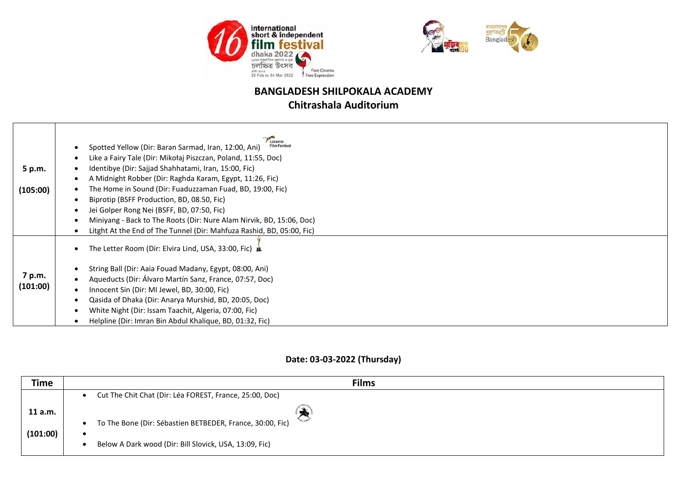



## **Chitrashala Auditorium**

|          | Locarno<br><b>Film Festival</b><br>Spotted Yellow (Dir: Baran Sarmad, Iran, 12:00, Ani)<br>$\bullet$ |
|----------|------------------------------------------------------------------------------------------------------|
|          | Like a Fairy Tale (Dir: Mikołaj Piszczan, Poland, 11:55, Doc)<br>٠                                   |
| 5 p.m.   | Identibye (Dir: Sajjad Shahhatami, Iran, 15:00, Fic)                                                 |
|          | A Midnight Robber (Dir: Raghda Karam, Egypt, 11:26, Fic)<br>٠                                        |
| (105:00) | The Home in Sound (Dir: Fuaduzzaman Fuad, BD, 19:00, Fic)<br>٠                                       |
|          | Biprotip (BSFF Production, BD, 08.50, Fic)<br>٠                                                      |
|          | Jei Golper Rong Nei (BSFF, BD, 07:50, Fic)<br>٠                                                      |
|          | Miniyang - Back to The Roots (Dir: Nure Alam Nirvik, BD, 15:06, Doc)<br>٠                            |
|          | Litght At the End of The Tunnel (Dir: Mahfuza Rashid, BD, 05:00, Fic)                                |
|          | The Letter Room (Dir: Elvira Lind, USA, 33:00, Fic) &<br>$\bullet$                                   |
|          | String Ball (Dir: Aaia Fouad Madany, Egypt, 08:00, Ani)<br>٠                                         |
| 7 p.m.   | Aqueducts (Dir: Álvaro Martín Sanz, France, 07:57, Doc)<br>$\bullet$                                 |
| (101:00) | Innocent Sin (Dir: MI Jewel, BD, 30:00, Fic)<br>٠                                                    |
|          | Qasida of Dhaka (Dir: Anarya Murshid, BD, 20:05, Doc)<br>$\bullet$                                   |
|          | White Night (Dir: Issam Taachit, Algeria, 07:00, Fic)<br>٠                                           |
|          | Helpline (Dir: Imran Bin Abdul Khalique, BD, 01:32, Fic)                                             |

#### **Date: 03-03-2022 (Thursday)**

| Time                | <b>Films</b>                                                                                                        |
|---------------------|---------------------------------------------------------------------------------------------------------------------|
|                     | Cut The Chit Chat (Dir: Léa FOREST, France, 25:00, Doc)                                                             |
| 11 a.m.<br>(101:00) | To The Bone (Dir: Sébastien BETBEDER, France, 30:00, Fic)<br>Below A Dark wood (Dir: Bill Slovick, USA, 13:09, Fic) |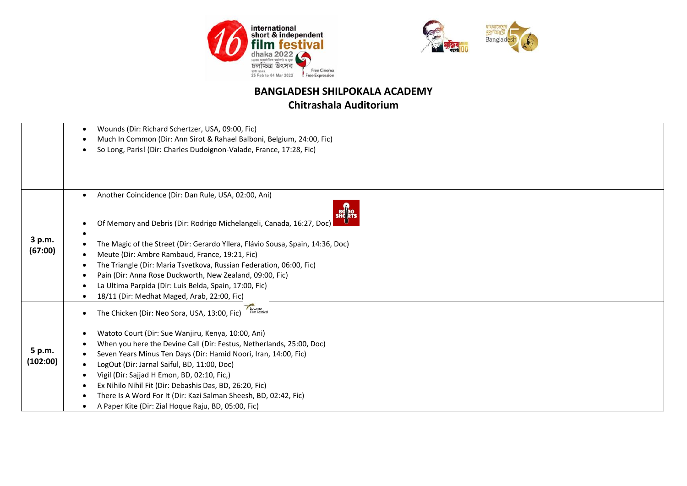



## **Chitrashala Auditorium**

|          | Wounds (Dir: Richard Schertzer, USA, 09:00, Fic)<br>٠                              |
|----------|------------------------------------------------------------------------------------|
|          | Much In Common (Dir: Ann Sirot & Rahael Balboni, Belgium, 24:00, Fic)<br>$\bullet$ |
|          | So Long, Paris! (Dir: Charles Dudoignon-Valade, France, 17:28, Fic)                |
|          |                                                                                    |
|          |                                                                                    |
|          |                                                                                    |
|          | Another Coincidence (Dir: Dan Rule, USA, 02:00, Ani)<br>$\bullet$                  |
|          | Of Memory and Debris (Dir: Rodrigo Michelangeli, Canada, 16:27, Doc)               |
|          |                                                                                    |
| 3 p.m.   | The Magic of the Street (Dir: Gerardo Yllera, Flávio Sousa, Spain, 14:36, Doc)     |
| (67:00)  | Meute (Dir: Ambre Rambaud, France, 19:21, Fic)                                     |
|          | The Triangle (Dir: Maria Tsvetkova, Russian Federation, 06:00, Fic)                |
|          | Pain (Dir: Anna Rose Duckworth, New Zealand, 09:00, Fic)                           |
|          | La Ultima Parpida (Dir: Luis Belda, Spain, 17:00, Fic)                             |
|          | 18/11 (Dir: Medhat Maged, Arab, 22:00, Fic)                                        |
|          | Locarno<br>The Chicken (Dir: Neo Sora, USA, 13:00, Fic)                            |
|          |                                                                                    |
|          | Watoto Court (Dir: Sue Wanjiru, Kenya, 10:00, Ani)<br>$\bullet$                    |
|          | When you here the Devine Call (Dir: Festus, Netherlands, 25:00, Doc)               |
| 5 p.m.   | Seven Years Minus Ten Days (Dir: Hamid Noori, Iran, 14:00, Fic)                    |
| (102:00) | LogOut (Dir: Jarnal Saiful, BD, 11:00, Doc)                                        |
|          | Vigil (Dir: Sajjad H Emon, BD, 02:10, Fic,)                                        |
|          | Ex Nihilo Nihil Fit (Dir: Debashis Das, BD, 26:20, Fic)                            |
|          | There Is A Word For It (Dir: Kazi Salman Sheesh, BD, 02:42, Fic)<br>٠              |
|          | A Paper Kite (Dir: Zial Hoque Raju, BD, 05:00, Fic)                                |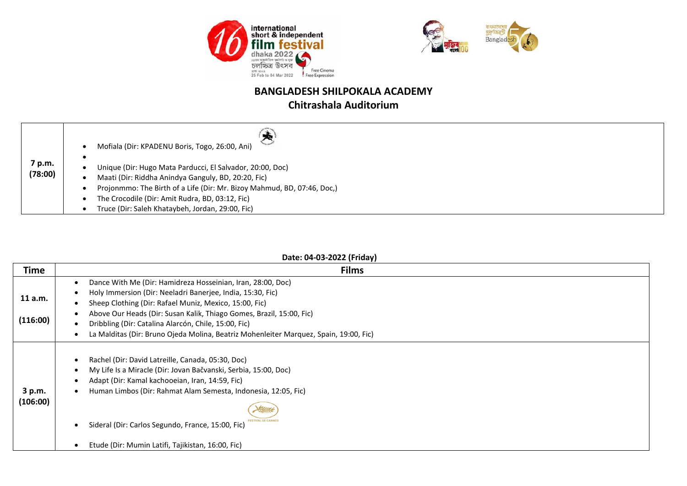



## **Chitrashala Auditorium**

|                   | Mofiala (Dir: KPADENU Boris, Togo, 26:00, Ani)                                                                                                                                                                                                                                                     |
|-------------------|----------------------------------------------------------------------------------------------------------------------------------------------------------------------------------------------------------------------------------------------------------------------------------------------------|
| 7 p.m.<br>(78:00) | Unique (Dir: Hugo Mata Parducci, El Salvador, 20:00, Doc)<br>Maati (Dir: Riddha Anindya Ganguly, BD, 20:20, Fic)<br>Projonmmo: The Birth of a Life (Dir: Mr. Bizoy Mahmud, BD, 07:46, Doc,)<br>The Crocodile (Dir: Amit Rudra, BD, 03:12, Fic)<br>Truce (Dir: Saleh Khataybeh, Jordan, 29:00, Fic) |

#### **Date: 04-03-2022 (Friday)**

| <b>Time</b>        | <b>Films</b>                                                                                                                                                                                                                                                                                                                                        |
|--------------------|-----------------------------------------------------------------------------------------------------------------------------------------------------------------------------------------------------------------------------------------------------------------------------------------------------------------------------------------------------|
|                    | Dance With Me (Dir: Hamidreza Hosseinian, Iran, 28:00, Doc)<br>$\bullet$                                                                                                                                                                                                                                                                            |
| 11 a.m.            | Holy Immersion (Dir: Neeladri Banerjee, India, 15:30, Fic)<br>Sheep Clothing (Dir: Rafael Muniz, Mexico, 15:00, Fic)                                                                                                                                                                                                                                |
| (116:00)           | Above Our Heads (Dir: Susan Kalik, Thiago Gomes, Brazil, 15:00, Fic)<br>Dribbling (Dir: Catalina Alarcón, Chile, 15:00, Fic)                                                                                                                                                                                                                        |
|                    | La Malditas (Dir: Bruno Ojeda Molina, Beatriz Mohenleiter Marquez, Spain, 19:00, Fic)                                                                                                                                                                                                                                                               |
| 3 p.m.<br>(106:00) | Rachel (Dir: David Latreille, Canada, 05:30, Doc)<br>My Life Is a Miracle (Dir: Jovan Bačvanski, Serbia, 15:00, Doc)<br>Adapt (Dir: Kamal kachooeian, Iran, 14:59, Fic)<br>Human Limbos (Dir: Rahmat Alam Semesta, Indonesia, 12:05, Fic)<br>Sideral (Dir: Carlos Segundo, France, 15:00, Fic)<br>Etude (Dir: Mumin Latifi, Tajikistan, 16:00, Fic) |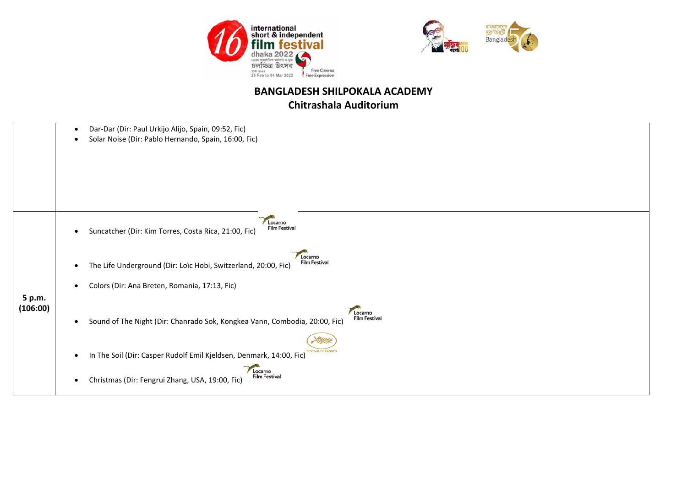



#### **BANGLADESH SHILPOKALA ACADEMY Chitrashala Auditorium**

 Dar-Dar (Dir: Paul Urkijo Alijo, Spain, 09:52, Fic) Solar Noise (Dir: Pablo Hernando, Spain, 16:00, Fic) Locarno Film Festival Suncatcher (Dir: Kim Torres, Costa Rica, 21:00, Fic) Locarno **Film Festival**  The Life Underground (Dir: Loïc Hobi, Switzerland, 20:00, Fic) Colors (Dir: Ana Breten, Romania, 17:13, Fic) **5 p.m. (106:00)** Locarno **Film Festival**  Sound of The Night (Dir: Chanrado Sok, Kongkea Vann, Combodia, 20:00, Fic) VAL DE CANNES • In The Soil (Dir: Casper Rudolf Emil Kjeldsen, Denmark, 14:00, Fic) Locarno **Film Festival** Christmas (Dir: Fengrui Zhang, USA, 19:00, Fic)